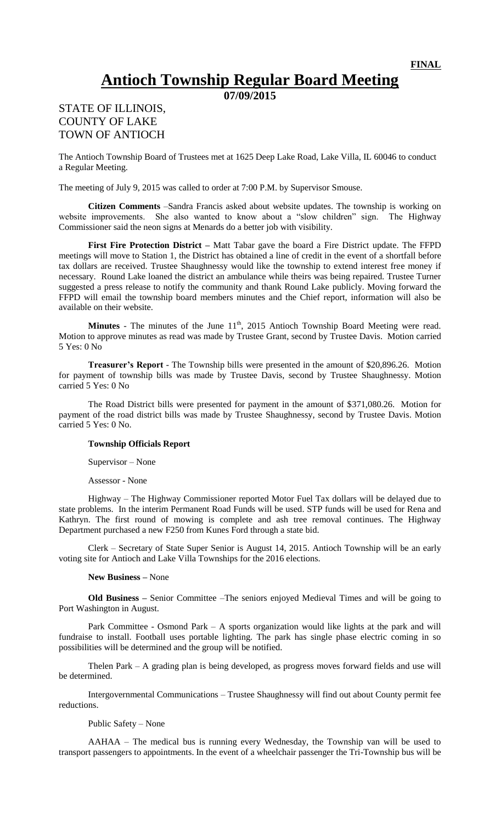## **Antioch Township Regular Board Meeting**

**07/09/2015**

## STATE OF ILLINOIS, COUNTY OF LAKE TOWN OF ANTIOCH

The Antioch Township Board of Trustees met at 1625 Deep Lake Road, Lake Villa, IL 60046 to conduct a Regular Meeting.

The meeting of July 9, 2015 was called to order at 7:00 P.M. by Supervisor Smouse.

**Citizen Comments** –Sandra Francis asked about website updates. The township is working on website improvements. She also wanted to know about a "slow children" sign. The Highway Commissioner said the neon signs at Menards do a better job with visibility.

**First Fire Protection District –** Matt Tabar gave the board a Fire District update. The FFPD meetings will move to Station 1, the District has obtained a line of credit in the event of a shortfall before tax dollars are received. Trustee Shaughnessy would like the township to extend interest free money if necessary. Round Lake loaned the district an ambulance while theirs was being repaired. Trustee Turner suggested a press release to notify the community and thank Round Lake publicly. Moving forward the FFPD will email the township board members minutes and the Chief report, information will also be available on their website.

**Minutes** - The minutes of the June  $11<sup>th</sup>$ , 2015 Antioch Township Board Meeting were read. Motion to approve minutes as read was made by Trustee Grant, second by Trustee Davis. Motion carried 5 Yes: 0 No

**Treasurer's Report** - The Township bills were presented in the amount of \$20,896.26. Motion for payment of township bills was made by Trustee Davis, second by Trustee Shaughnessy. Motion carried 5 Yes: 0 No

The Road District bills were presented for payment in the amount of \$371,080.26. Motion for payment of the road district bills was made by Trustee Shaughnessy, second by Trustee Davis. Motion carried 5 Yes: 0 No.

## **Township Officials Report**

Supervisor – None

Assessor - None

Highway – The Highway Commissioner reported Motor Fuel Tax dollars will be delayed due to state problems. In the interim Permanent Road Funds will be used. STP funds will be used for Rena and Kathryn. The first round of mowing is complete and ash tree removal continues. The Highway Department purchased a new F250 from Kunes Ford through a state bid.

Clerk – Secretary of State Super Senior is August 14, 2015. Antioch Township will be an early voting site for Antioch and Lake Villa Townships for the 2016 elections.

## **New Business –** None

**Old Business –** Senior Committee –The seniors enjoyed Medieval Times and will be going to Port Washington in August.

Park Committee - Osmond Park – A sports organization would like lights at the park and will fundraise to install. Football uses portable lighting. The park has single phase electric coming in so possibilities will be determined and the group will be notified.

Thelen Park – A grading plan is being developed, as progress moves forward fields and use will be determined.

Intergovernmental Communications – Trustee Shaughnessy will find out about County permit fee reductions.

Public Safety – None

AAHAA – The medical bus is running every Wednesday, the Township van will be used to transport passengers to appointments. In the event of a wheelchair passenger the Tri-Township bus will be